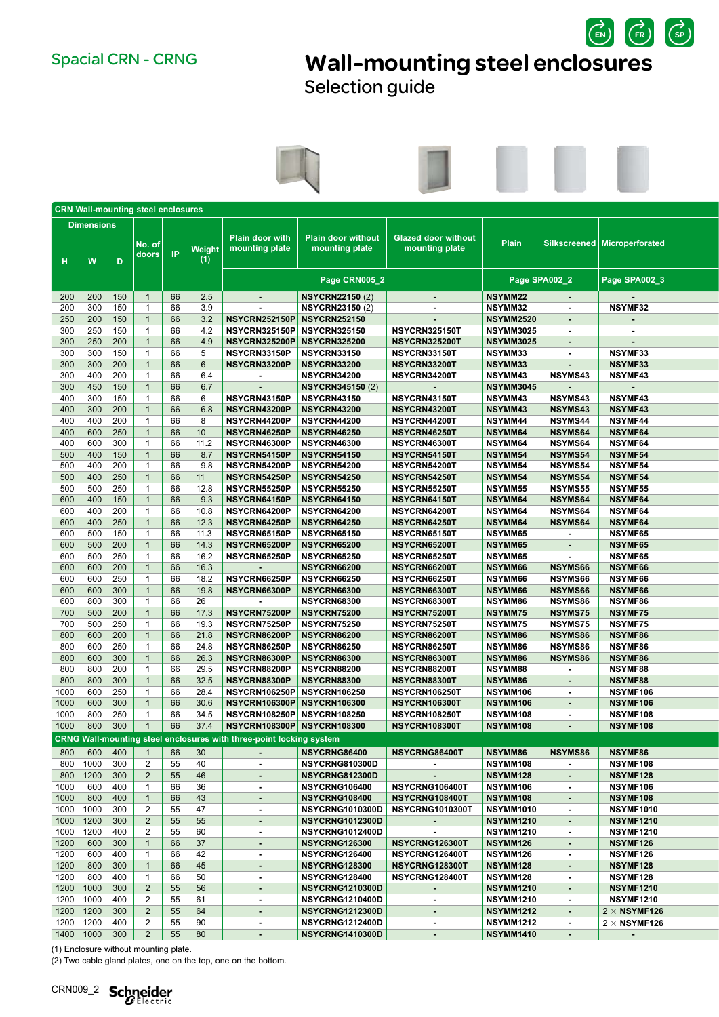$\overrightarrow{c}$ Spacial CRN - CRNG **Wall-mounting steel enclosures** 

Selection guide



|      | <b>CRN Wall-mounting steel enclosures</b> |     |                  |               |                      |                                                                     |                                             |                                              |                  |                  |                                |
|------|-------------------------------------------|-----|------------------|---------------|----------------------|---------------------------------------------------------------------|---------------------------------------------|----------------------------------------------|------------------|------------------|--------------------------------|
|      | <b>Dimensions</b>                         |     |                  |               |                      |                                                                     |                                             |                                              |                  |                  |                                |
| H.   | W                                         | D   | No. of∣<br>doors | $\mathsf{IP}$ | <b>Weight</b><br>(1) | <b>Plain door with</b><br>mounting plate                            | <b>Plain door without</b><br>mounting plate | <b>Glazed door without</b><br>mounting plate | <b>Plain</b>     |                  | Silkscreened   Microperforated |
|      |                                           |     |                  |               |                      |                                                                     | Page CRN005_2                               |                                              |                  | Page SPA002_2    | Page SPA002_3                  |
|      | 200   200   150                           |     | $\overline{1}$   | 66            | 2.5                  |                                                                     | <b>NSYCRN22150 (2)</b>                      |                                              | <b>NSYMM22</b>   | $\sim$           |                                |
| 200  | 300                                       | 150 | $\overline{1}$   | 66            | 3.9                  |                                                                     | <b>NSYCRN23150 (2)</b>                      | $\sim$                                       | <b>NSYMM32</b>   | $\sim$           | NSYMF32                        |
| 250  | 200                                       | 150 | $\overline{1}$   | 66            | 3.2                  | NSYCRN252150P NSYCRN252150                                          |                                             | $\sim$                                       | <b>NSYMM2520</b> | $\sim$           | $\sim$                         |
| 300  | 250                                       | 150 | $\overline{1}$   | 66            | 4.2                  | NSYCRN325150P NSYCRN325150                                          |                                             | <b>NSYCRN3251501</b>                         | <b>NSYMM3025</b> | $\sim$           | $\sim$                         |
| 300  | 250                                       | 200 | $\overline{1}$   | 66            | 4.9                  | NSYCRN325200P NSYCRN325200                                          |                                             | <b>NSYCRN325200T</b>                         | <b>NSYMM3025</b> | $\sim$           |                                |
| 300  | 300                                       | 150 | $\overline{1}$   | 66            | 5                    | NSYCRN33150P                                                        | <b>NSYCRN33150</b>                          | NSYCRN33150T                                 | <b>NSYMM33</b>   | $\sim$           | NSYMF33                        |
| 300  | 300                                       | 200 | $\overline{1}$   | 66            | 6                    | NSYCRN33200P                                                        | NSYCRN33200                                 | NSYCRN33200T                                 | NSYMM33          | $\sim$           | NSYMF33                        |
| 300  | 400                                       | 200 | $\overline{1}$   | 66            | 6.4                  |                                                                     | <b>NSYCRN34200</b>                          | NSYCRN34200T                                 | <b>NSYMM43</b>   | <b>NSYMS43</b>   | <b>NSYMF43</b>                 |
| 300  | 450                                       | 150 | $\overline{1}$   | 66            | 6.7                  |                                                                     | <b>NSYCRN345150 (2)</b>                     |                                              | <b>NSYMM3045</b> | $\sim$           | $\sim$                         |
| 400  | 300                                       | 150 | $\overline{1}$   | 66            | 6                    | NSYCRN43150P                                                        | NSYCRN43150                                 | NSYCRN43150T                                 | <b>NSYMM43</b>   | NSYMS43          | NSYMF43                        |
| 400  | 300                                       | 200 | $\overline{1}$   | 66            | 6.8                  | NSYCRN43200P                                                        | <b>NSYCRN43200</b>                          | NSYCRN43200T                                 | <b>NSYMM43</b>   | <b>NSYMS43</b>   | NSYMF43                        |
| 400  | 400                                       | 200 | $\overline{1}$   | 66            | -8                   | NSYCRN44200P                                                        | <b>NSYCRN44200</b>                          | NSYCRN44200T                                 | <b>NSYMM44</b>   | <b>NSYMS44</b>   | <b>NSYMF44</b>                 |
| 400  | 600                                       | 250 | $\overline{1}$   | 66            | 10                   | NSYCRN46250P                                                        | <b>NSYCRN46250</b>                          | NSYCRN46250T                                 | <b>NSYMM64</b>   | <b>NSYMS64</b>   | <b>NSYMF64</b>                 |
| 400  | 600                                       | 300 | $\overline{1}$   | 66            | 11.2                 | NSYCRN46300P                                                        | <b>NSYCRN46300</b>                          | NSYCRN46300T                                 | <b>NSYMM64</b>   | <b>NSYMS64</b>   | <b>NSYMF64</b>                 |
| 500  | 400                                       | 150 | $\overline{1}$   | 66            | 8.7                  | NSYCRN54150P                                                        | <b>NSYCRN54150</b>                          | NSYCRN54150T                                 | <b>NSYMM54</b>   | NSYMS54          | NSYMF54                        |
| 500  | 400                                       | 200 | $\overline{1}$   | 66            | 9.8                  | NSYCRN54200P                                                        | NSYCRN54200                                 | NSYCRN54200T                                 | <b>NSYMM54</b>   | <b>NSYMS54</b>   | NSYMF54                        |
| 500  | 400                                       | 250 | $\overline{1}$   | 66            | 11                   | NSYCRN54250P                                                        | <b>NSYCRN54250</b>                          | NSYCRN54250T                                 | <b>NSYMM54</b>   | <b>NSYMS54</b>   | NSYMF54                        |
| 500  | 500                                       | 250 | $\overline{1}$   | 66            | 12.8                 | NSYCRN55250P                                                        | NSYCRN55250                                 | NSYCRN55250T                                 | <b>NSYMM55</b>   | <b>NSYMS55</b>   | NSYMF55                        |
| 600  | 400                                       | 150 | $\overline{1}$   | 66            | 9.3                  | NSYCRN64150P                                                        | <b>NSYCRN64150</b>                          | NSYCRN64150T                                 | <b>NSYMM64</b>   | <b>NSYMS64</b>   | <b>NSYMF64</b>                 |
| 600  | 400                                       | 200 | $\overline{1}$   | 66            | 10.8                 | NSYCRN64200P                                                        | NSYCRN64200                                 | NSYCRN64200T                                 | <b>NSYMM64</b>   | <b>NSYMS64</b>   | NSYMF64                        |
| 600  | 400                                       | 250 | $\overline{1}$   | 66            | 12.3                 | NSYCRN64250P                                                        | NSYCRN64250                                 | NSYCRN64250T                                 | <b>NSYMM64</b>   | <b>NSYMS64</b>   | <b>NSYMF64</b>                 |
| 600  | 500                                       | 150 | $\overline{1}$   | 66            | 11.3                 | NSYCRN65150P                                                        | NSYCRN65150                                 | NSYCRN65150T                                 | <b>NSYMM65</b>   | $\sim$           | <b>NSYMF65</b>                 |
| 600  | 500                                       | 200 | $\overline{1}$   | 66            | 14.3                 | NSYCRN65200P                                                        | <b>NSYCRN65200</b>                          | NSYCRN65200T                                 | <b>NSYMM65</b>   | $\sim$           | NSYMF65                        |
| 600  | 500                                       | 250 | $\overline{1}$   | 66            | 16.2                 | <b>NSYCRN65250P</b>                                                 | NSYCRN65250                                 | NSYCRN65250T                                 | <b>NSYMM65</b>   | $\sim$           | <b>NSYMF65</b>                 |
| 600  | 600                                       | 200 | $\overline{1}$   | 66            | 16.3                 |                                                                     | <b>NSYCRN66200</b>                          | NSYCRN66200T                                 | NSYMM66          | <b>NSYMS66</b>   | NSYMF66                        |
| 600  | 600                                       | 250 | $\overline{1}$   | 66            | 18.2                 | NSYCRN66250P                                                        | <b>NSYCRN66250</b>                          | NSYCRN66250T                                 | <b>NSYMM66</b>   | <b>NSYMS66</b>   | NSYMF66                        |
| 600  | 600                                       | 300 | $\overline{1}$   | 66            | 19.8                 | NSYCRN66300P                                                        | <b>NSYCRN66300</b>                          | NSYCRN66300T                                 | <b>NSYMM66</b>   | <b>NSYMS66</b>   | NSYMF66                        |
| 600  | 800                                       | 300 | $\overline{1}$   | 66            | 26                   |                                                                     | <b>NSYCRN68300</b>                          | NSYCRN68300T                                 | <b>NSYMM86</b>   | <b>NSYMS86</b>   | NSYMF86                        |
|      |                                           |     |                  |               |                      | NSYCRN75200P                                                        |                                             |                                              |                  |                  |                                |
| 700  | 500                                       | 200 | $\overline{1}$   | 66            | 17.3                 |                                                                     | NSYCRN75200                                 | NSYCRN75200T                                 | <b>NSYMM75</b>   | <b>NSYMS75</b>   | <b>NSYMF75</b>                 |
| 700  | 500                                       | 250 | $\overline{1}$   | 66            | 19.3                 | NSYCRN75250P                                                        | NSYCRN75250                                 | NSYCRN75250T                                 | <b>NSYMM75</b>   | <b>NSYMS75</b>   | <b>NSYMF75</b>                 |
| 800  | 600                                       | 200 | $\overline{1}$   | 66            | 21.8                 | NSYCRN86200P                                                        | <b>NSYCRN86200</b>                          | NSYCRN86200T                                 | NSYMM86          | <b>NSYMS86</b>   | NSYMF86                        |
| 800  | 600                                       | 250 | $\overline{1}$   | 66            | 24.8                 | NSYCRN86250P                                                        | <b>NSYCRN86250</b>                          | NSYCRN86250T                                 | <b>NSYMM86</b>   | <b>NSYMS86</b>   | NSYMF86                        |
| 800  | 600                                       | 300 | $\overline{1}$   | 66            | 26.3                 | NSYCRN86300P                                                        | <b>NSYCRN86300</b>                          | NSYCRN86300T                                 | NSYMM86          | <b>NSYMS86</b>   | NSYMF86                        |
| 800  | 800                                       | 200 | $\overline{1}$   | 66            | 29.5                 | NSYCRN88200P                                                        | <b>NSYCRN88200</b>                          | NSYCRN88200T                                 | <b>NSYMM88</b>   | $\sim$           | NSYMF88                        |
| 800  | 800                                       | 300 | $\overline{1}$   | 66            | 32.5                 | NSYCRN88300P                                                        | <b>NSYCRN88300</b>                          | NSYCRN88300T                                 | <b>NSYMM86</b>   | $\sim$           | NSYMF88                        |
| 1000 | 600                                       | 250 | $\overline{1}$   | 66            | 28.4                 | NSYCRN106250P NSYCRN106250                                          |                                             | <b>NSYCRN1062501</b>                         | <b>NSYMM106</b>  | $\sim$           | NSYMF106                       |
| 1000 | 600                                       | 300 | $\overline{1}$   | 66            | 30.6                 | <b>NSYCRN106300P NSYCRN106300</b>                                   |                                             | <b>NSYCRN106300T</b>                         | NSYMM106         | $\sim$           | NSYMF106                       |
| 1000 | 800                                       |     | $\overline{1}$   | 66            | 34.5                 | NSYCRN108250P NSYCRN108250                                          |                                             | <b>NSYCRN108250T</b>                         | <b>NSYMM108</b>  | $\sim$           | NSYMF108                       |
| 1000 | 800 300                                   |     | $\overline{1}$   | 66            |                      | 37.4   NSYCRN108300P   NSYCRN108300                                 |                                             | <b>NSYCRN108300T</b>                         | NSYMM108         | $\sim$           | NSYMF108                       |
|      |                                           |     |                  |               |                      | CRNG Wall-mounting steel enclosures with three-point locking system |                                             |                                              |                  |                  |                                |
|      | 800   600                                 | 400 | $\overline{1}$   | 66            | 30                   |                                                                     | NSYCRNG86400                                | NSYCRNG86400T                                | NSYMM86          | <b>NSYMS86</b>   | NSYMF86                        |
|      | 800   1000                                | 300 | $\overline{2}$   | 55            | 40                   | $\sim$                                                              | NSYCRNG810300D                              | $\sim$                                       | NSYMM108         | $\sim$           | NSYMF108                       |
|      | 800 1200 300                              |     | $\overline{2}$   | 55            | 46                   | $\sim$                                                              | <b>NSYCRNG812300D</b>                       | $\sim$                                       | NSYMM128         | $\sim$ 10 $\pm$  | NSYMF128                       |
| 1000 | 600 400                                   |     | $\overline{1}$   | 66            | 36                   | $\sim$                                                              | NSYCRNG106400                               | NSYCRNG106400T                               | <b>NSYMM106</b>  | $\sim$ $-$       | NSYMF106                       |
| 1000 | 800   400                                 |     | $\overline{1}$   | 66            | 43                   | $\sim$                                                              | <b>NSYCRNG108400</b>                        | NSYCRNG108400T                               | <b>NSYMM108</b>  | <b>Contract</b>  | NSYMF108                       |
| 1000 | 1000   300                                |     | $\overline{2}$   | 55            | 47                   | $\sim$                                                              |                                             | NSYCRNG1010300D   NSYCRNG1010300T            | <b>NSYMM1010</b> | $\sim$           | <b>NSYMF1010</b>               |
|      | $1000$   1200   300                       |     | $\overline{2}$   | 55            | 55                   | $\sim$                                                              | <b>NSYCRNG1012300D</b>                      | $\sim$                                       | <b>NSYMM1210</b> | <b>Contract</b>  | <b>NSYMF1210</b>               |
| 1000 | 1200                                      | 400 | $\overline{2}$   | 55            | 60                   | $\sim$                                                              | NSYCRNG1012400D                             | $\sim$                                       | <b>NSYMM1210</b> | $\sim$ $-$       | NSYMF1210                      |
|      |                                           |     |                  |               |                      |                                                                     | <b>NSYCRNG126300</b>                        |                                              |                  |                  |                                |
| 1200 | 600                                       | 300 | $\overline{1}$   | 66            | 37                   | $\sim$                                                              |                                             | NSYCRNG126300T                               | NSYMM126         | <b>Contract</b>  | NSYMF126                       |
| 1200 | 600                                       | 400 | $\overline{1}$   | 66            | 42                   | $\sim$                                                              | NSYCRNG126400                               | NSYCRNG126400T                               | <b>NSYMM126</b>  | $\sim$           | NSYMF126                       |
| 1200 | 800 300                                   |     | $\overline{1}$   | 66            | 45                   | $\sim$                                                              | <b>NSYCRNG128300</b>                        | NSYCRNG128300T                               | NSYMM128         | <b>Contract</b>  | NSYMF128                       |
| 1200 | 800 400                                   |     | $\overline{1}$   | 66            | 50                   | $\sim$                                                              | <b>NSYCRNG128400</b>                        | NSYCRNG128400T                               | <b>NSYMM128</b>  | $\sim$           | <b>NSYMF128</b>                |
|      | 1200   1000   300                         |     | $\overline{2}$   | 55            | 56                   | $\sim$                                                              | <b>NSYCRNG1210300D</b>                      | $\sim$ $-$                                   | <b>NSYMM1210</b> | <b>Contract</b>  | <b>NSYMF1210</b>               |
|      | 1200   1000   400                         |     | $\overline{2}$   | 55            | 61                   | $\sim$                                                              | NSYCRNG1210400D                             | $\sim$                                       | <b>NSYMM1210</b> | $\sim$           | NSYMF1210                      |
|      | $1200$ 1200 300                           |     | $\overline{2}$   | 55            | 64                   | $\sim$                                                              | <b>NSYCRNG1212300D</b>                      | $\sim$                                       | <b>NSYMM1212</b> | $\sim$ 100 $\pm$ | $2 \times$ NSYMF126            |
|      | 1200 1200 400                             |     | $\overline{2}$   | 55            | 90                   | $\sim$                                                              | NSYCRNG1212400D                             | $\sim$                                       | <b>NSYMM1212</b> | $\sim$           | $2 \times$ NSYMF126            |
|      | $1400$ 1000 300                           |     | $\overline{2}$   | 55            | $\vert$ 80           | $\sim$                                                              | <b>NSYCRNG1410300D</b>                      | $\sim$                                       | <b>NSYMM1410</b> | $\sim$           | $\sim$                         |

(1) Enclosure without mounting plate.

(2) Two cable gland plates, one on the top, one on the bottom.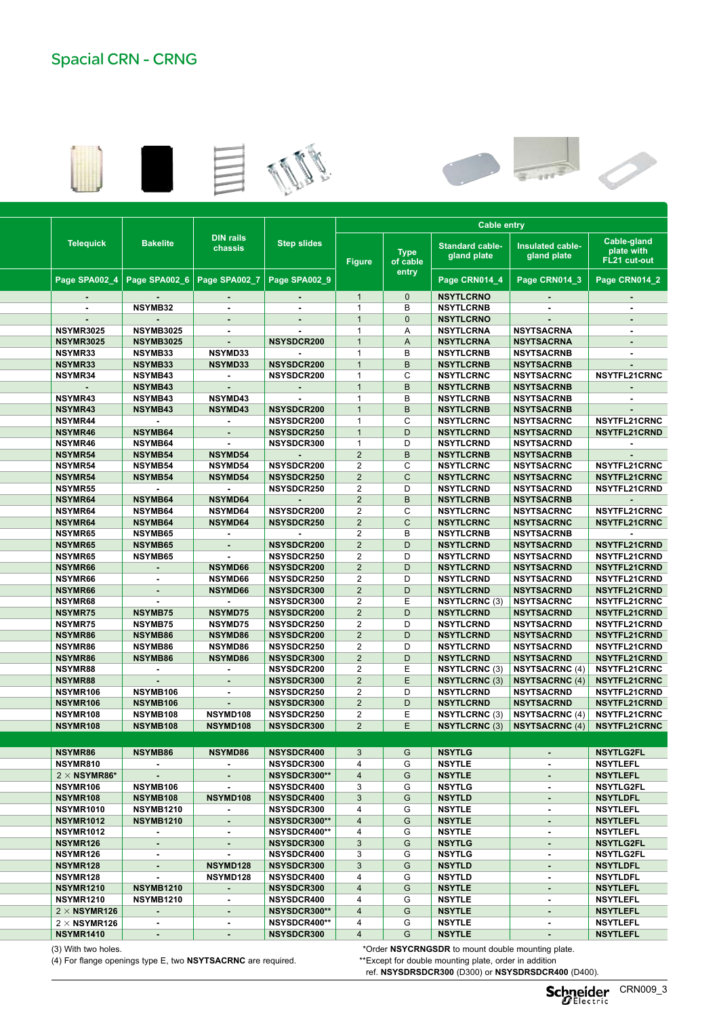## Spacial CRN - CRNG











|                     |         |                          |                             |                               | Cable entry    |                         |                               |                                 |                                           |  |  |  |
|---------------------|---------|--------------------------|-----------------------------|-------------------------------|----------------|-------------------------|-------------------------------|---------------------------------|-------------------------------------------|--|--|--|
| <b>Telequick</b>    |         | <b>Bakelite</b>          | <b>DIN rails</b><br>chassis | <b>Step slides</b>            | <b>Figure</b>  | <b>Type</b><br>of cable | Standard cable<br>gland plate | Insulated cable-<br>gland plate | Cable-gland<br>plate with<br>FL21 cut-out |  |  |  |
| Page SPA002_4       |         | Page SPA002_6            | Page SPA002_7               | Page SPA002 9                 |                | entry                   | Page CRN014_4                 | Page CRN014_3                   | Page CRN014_2                             |  |  |  |
|                     |         |                          |                             |                               | $\overline{1}$ | $\overline{0}$          | <b>NSYTLCRNO</b>              |                                 |                                           |  |  |  |
|                     |         | $\sim$                   |                             |                               |                | B                       |                               | $\sim$                          |                                           |  |  |  |
|                     |         | NSYMB32                  | $\sim$                      |                               | $\overline{1}$ | $\overline{0}$          | <b>NSYTLCRNB</b>              | $\sim$                          |                                           |  |  |  |
| $\sim$              |         | $\sim$                   | $\sim$                      | $\sim$                        | $\overline{1}$ |                         | <b>NSYTLCRNO</b>              | $\sim$                          | $\sim$                                    |  |  |  |
| <b>NSYMR3025</b>    |         | <b>NSYMB3025</b>         | $\sim$                      | $\sim$                        | $\overline{1}$ | A                       | <b>NSYTLCRNA</b>              | <b>NSYTSACRNA</b>               |                                           |  |  |  |
| <b>NSYMR3025</b>    |         | <b>NSYMB3025</b>         | $\sim$                      | <b>NSYSDCR200</b>             | $\overline{1}$ | $\mathsf{A}$            | <b>NSYTLCRNA</b>              | <b>NSYTSACRNA</b>               |                                           |  |  |  |
| NSYMR33             |         | NSYMB33                  | <b>NSYMD33</b>              |                               | $\overline{1}$ | B                       | <b>NSYTLCRNB</b>              | <b>NSYTSACRNB</b>               |                                           |  |  |  |
| NSYMR33             |         | NSYMB33                  | <b>NSYMD33</b>              | NSYSDCR200                    | $\overline{1}$ | B                       | <b>NSYTLCRNB</b>              | <b>NSYTSACRNB</b>               | $\sim$ 100 $\sim$                         |  |  |  |
| NSYMR34             |         | NSYMB43                  | $\sim$                      | <b>NSYSDCR200</b>             | $\overline{1}$ | C                       | <b>NSYTLCRNC</b>              | <b>NSYTSACRNC</b>               | <b>NSYTFL21CRNC</b>                       |  |  |  |
| $\sim$              |         | NSYMB43                  | $\sim$                      | $\sim$                        | $\mathbf{1}$   | $\overline{B}$          | <b>NSYTLCRNB</b>              | <b>NSYTSACRNB</b>               |                                           |  |  |  |
| NSYMR43             |         | NSYMB43                  | <b>NSYMD43</b>              | $\sim$                        | $\overline{1}$ | B                       | <b>NSYTLCRNB</b>              | <b>NSYTSACRNB</b>               | $\sim$                                    |  |  |  |
| NSYMR43             |         | <b>NSYMB43</b>           | <b>NSYMD43</b>              | NSYSDCR200                    | $\overline{1}$ | $\overline{B}$          | <b>NSYTLCRNB</b>              | <b>NSYTSACRNB</b>               |                                           |  |  |  |
| NSYMR44             |         | $\sim 100$               | $\sim$                      | <b>NSYSDCR200</b>             | $\mathbf{1}$   | C                       | <b>NSYTLCRNC</b>              | <b>NSYTSACRNC</b>               | <b>NSYTFL21CRNC</b>                       |  |  |  |
| NSYMR46             |         | <b>NSYMB64</b>           | $\sim$                      | <b>NSYSDCR250</b>             | $\overline{1}$ | D                       | <b>NSYTLCRND</b>              | <b>NSYTSACRND</b>               | <b>NSYTFL21CRND</b>                       |  |  |  |
| NSYMR46             |         | <b>NSYMB64</b>           | $\sim$ $-$                  | <b>NSYSDCR300</b>             | $\overline{1}$ | D                       | <b>NSYTLCRND</b>              | <b>NSYTSACRND</b>               |                                           |  |  |  |
| NSYMR54             |         | <b>NSYMB54</b>           | <b>NSYMD54</b>              | $\sim$                        | $\overline{2}$ | B                       | <b>NSYTLCRNB</b>              | <b>NSYTSACRNB</b>               |                                           |  |  |  |
| NSYMR54             |         | <b>NSYMB54</b>           | <b>NSYMD54</b>              | <b>NSYSDCR200</b>             | 2              | C                       | <b>NSYTLCRNC</b>              | <b>NSYTSACRNC</b>               | <b>NSYTFL21CRNC</b>                       |  |  |  |
| NSYMR54             |         | <b>NSYMB54</b>           | <b>NSYMD54</b>              | <b>NSYSDCR250</b>             | $\overline{2}$ | $\mathsf{C}$            | <b>NSYTLCRNC</b>              | <b>NSYTSACRNC</b>               | <b>NSYTFL21CRNC</b>                       |  |  |  |
| NSYMR55             |         | <b>Contract Contract</b> | $\sim 100$                  | <b>NSYSDCR250</b>             | 2              | D                       | <b>NSYTLCRND</b>              | <b>NSYTSACRND</b>               | <b>NSYTFL21CRND</b>                       |  |  |  |
| NSYMR64             |         | <b>NSYMB64</b>           | <b>NSYMD64</b>              | $\sim$                        | $\overline{2}$ | B                       | <b>NSYTLCRNB</b>              | <b>NSYTSACRNB</b>               |                                           |  |  |  |
| NSYMR64             |         | <b>NSYMB64</b>           | <b>NSYMD64</b>              | <b>NSYSDCR200</b>             | $\overline{2}$ | $\mathsf{C}$            | <b>NSYTLCRNC</b>              | <b>NSYTSACRNC</b>               | <b>NSYTFL21CRNC</b>                       |  |  |  |
| NSYMR64             |         | <b>NSYMB64</b>           | <b>NSYMD64</b>              | <b>NSYSDCR250</b>             | $\overline{2}$ | $\mathsf{C}$            | <b>NSYTLCRNC</b>              | <b>NSYTSACRNC</b>               | <b>NSYTFL21CRNC</b>                       |  |  |  |
| NSYMR65             |         | <b>NSYMB65</b>           | $\sim$                      | $\sim$                        | 2              | B                       | <b>NSYTLCRNB</b>              | <b>NSYTSACRNB</b>               |                                           |  |  |  |
| NSYMR65             |         | <b>NSYMB65</b>           | $\sim$                      | <b>NSYSDCR200</b>             | $\overline{2}$ | D                       | <b>NSYTLCRND</b>              | <b>NSYTSACRND</b>               | <b>NSYTFL21CRND</b>                       |  |  |  |
| NSYMR65             |         | <b>NSYMB65</b>           | $\sim$                      | <b>NSYSDCR250</b>             | $\overline{2}$ | D                       | <b>NSYTLCRND</b>              | <b>NSYTSACRND</b>               | <b>NSYTFL21CRND</b>                       |  |  |  |
| NSYMR66             |         | $\sim$                   | <b>NSYMD66</b>              | NSYSDCR200                    | 2              | D                       | <b>NSYTLCRND</b>              | <b>NSYTSACRND</b>               | NSYTFL21CRND                              |  |  |  |
| NSYMR66             |         | $\sim$                   | <b>NSYMD66</b>              | <b>NSYSDCR250</b>             | 2              | D                       | <b>NSYTLCRND</b>              | <b>NSYTSACRND</b>               | <b>NSYTFL21CRND</b>                       |  |  |  |
| <b>NSYMR66</b>      |         | $\sim$                   | <b>NSYMD66</b>              | NSYSDCR300                    | $\overline{2}$ | D                       | <b>NSYTLCRND</b>              | <b>NSYTSACRND</b>               | <b>NSYTFL21CRND</b>                       |  |  |  |
| NSYMR68             |         | $\sim$                   | $\sim$                      | <b>NSYSDCR300</b>             | $\overline{2}$ | E                       | <b>NSYTLCRNC (3</b>           | <b>NSYTSACRNC</b>               | <b>NSYTFL21CRNC</b>                       |  |  |  |
| NSYMR75             |         | <b>NSYMB75</b>           | <b>NSYMD75</b>              | <b>NSYSDCR200</b>             | $\overline{2}$ | D                       | <b>NSYTLCRND</b>              | <b>NSYTSACRND</b>               | NSYTFL21CRND                              |  |  |  |
| <b>NSYMR75</b>      |         | <b>NSYMB75</b>           | <b>NSYMD75</b>              | <b>NSYSDCR250</b>             | 2              | D                       | <b>NSYTLCRND</b>              | <b>NSYTSACRND</b>               | NSYTFL21CRND                              |  |  |  |
| NSYMR86             |         | NSYMB86                  | <b>NSYMD86</b>              | <b>NSYSDCR200</b>             | $\overline{2}$ | D                       | <b>NSYTLCRND</b>              | <b>NSYTSACRND</b>               | NSYTFL21CRND                              |  |  |  |
| NSYMR86             |         | NSYMB86                  | <b>NSYMD86</b>              | <b>NSYSDCR250</b>             | $\overline{2}$ | D                       | <b>NSYTLCRND</b>              | <b>NSYTSACRND</b>               | NSYTFL21CRND                              |  |  |  |
| NSYMR86             |         | NSYMB86                  | <b>NSYMD86</b>              | <b>NSYSDCR300</b>             | $\overline{2}$ | D                       | <b>NSYTLCRND</b>              | <b>NSYTSACRND</b>               | NSYTFL21CRND                              |  |  |  |
| NSYMR88             |         | $\sim$                   | $\sim$                      | <b>NSYSDCR200</b>             | 2              | E                       | <b>NSYTLCRNC (3)</b>          | <b>NSYTSACRNC (4)</b>           | <b>NSYTFL21CRNC</b>                       |  |  |  |
| NSYMR88             |         | $\sim$                   | $\sim$                      | NSYSDCR300                    | $\overline{2}$ | E                       | <b>NSYTLCRNC (3)</b>          | NSYTSACRNC (4)                  | <b>NSYTFL21CRNC</b>                       |  |  |  |
| NSYMR106            |         | NSYMB106                 | $\sim$                      | <b>NSYSDCR250</b>             | 2              | D                       | <b>NSYTLCRND</b>              | <b>NSYTSACRND</b>               | NSYTFL21CRND                              |  |  |  |
| NSYMR106            |         | NSYMB106                 | $\sim$                      | NSYSDCR300                    | $\overline{2}$ | D                       | <b>NSYTLCRND</b>              | <b>NSYTSACRND</b>               | NSYTFL21CRND                              |  |  |  |
| NSYMR108            |         | NSYMB108                 | NSYMD108                    | <b>NSYSDCR250</b>             | 2              | E                       | <b>NSYTLCRNC (3)</b>          | NSYTSACRNC (4)                  | <b>NSYTFL21CRNC</b>                       |  |  |  |
| NSYMR108            |         | NSYMB108                 | NSYMD108                    | <b>NSYSDCR300</b>             | $\overline{2}$ | E                       |                               | NSYTLCRNC (3)   NSYTSACRNC (4)  | <b>NSYTFL21CRNC</b>                       |  |  |  |
|                     |         |                          |                             |                               |                |                         |                               |                                 |                                           |  |  |  |
|                     | NSYMR86 | <b>NSYMB86</b>           |                             | NSYMD86 NSYSDCR400 3 G NSYTLG |                |                         |                               |                                 | <b>NSYTLG2FL</b>                          |  |  |  |
| NSYMR810            |         | $\sim$                   | $\sim$                      | <b>NSYSDCR300</b>             | $\overline{4}$ | G                       | <b>NSYTLE</b>                 | $\sim$                          | <b>NSYTLEFL</b>                           |  |  |  |
| $2 \times$ NSYMR86* |         | $\sim$ $-$               | $\sim$                      | NSYSDCR300**                  | $\overline{4}$ | G                       | <b>NSYTLE</b>                 | $\sim$                          | <b>NSYTLEFL</b>                           |  |  |  |
| NSYMR106            |         | <b>NSYMB106</b>          | $\sim$                      | <b>NSYSDCR400</b>             | $\mathbf{3}$   | G                       | <b>NSYTLG</b>                 | $\sim$                          | <b>NSYTLG2FL</b>                          |  |  |  |
|                     |         |                          |                             |                               |                | G                       |                               |                                 | <b>NSYTLDFL</b>                           |  |  |  |
| NSYMR108            |         | <b>NSYMB108</b>          | NSYMD108                    | <b>NSYSDCR400</b>             | $\mathbf{3}$   |                         | <b>NSYTLD</b>                 | $\sim$ $-$                      |                                           |  |  |  |
| <b>NSYMR1010</b>    |         | <b>NSYMB1210</b>         | $\sim$                      | <b>NSYSDCR300</b>             | $\overline{4}$ | G                       | <b>NSYTLE</b>                 | $\sim$                          | <b>NSYTLEFL</b>                           |  |  |  |
| <b>NSYMR1012</b>    |         | <b>NSYMB1210</b>         | $\sim$                      | NSYSDCR300**                  | $\overline{4}$ | G                       | <b>NSYTLE</b>                 | $\sim$                          | <b>NSYTLEFL</b>                           |  |  |  |
| <b>NSYMR1012</b>    |         | $\sim$                   | $\sim$                      | NSYSDCR400**                  | $\overline{4}$ | G                       | <b>NSYTLE</b>                 | $\sim$                          | <b>NSYTLEFL</b>                           |  |  |  |
| NSYMR126            |         | $\sim$ $-$               | $\sim$                      | <b>NSYSDCR300</b>             | $\mathbf{3}$   | G                       | <b>NSYTLG</b>                 | $\sim$ 100 $\pm$                | <b>NSYTLG2FL</b>                          |  |  |  |
| NSYMR126            |         | $\sim$                   | $\sim$                      | <b>NSYSDCR400</b>             | $\mathbf{3}$   | G                       | <b>NSYTLG</b>                 | $\sim$                          | <b>NSYTLG2FL</b>                          |  |  |  |
| NSYMR128            |         | $\sim$ $-$               | <b>NSYMD128</b>             | NSYSDCR300                    | $\mathbf{3}$   | G                       | <b>NSYTLD</b>                 | $\sim$                          | <b>NSYTLDFL</b>                           |  |  |  |
| NSYMR128            |         | $\sim$                   | <b>NSYMD128</b>             | <b>NSYSDCR400</b>             | $\overline{4}$ | G                       | <b>NSYTLD</b>                 | $\sim$                          | <b>NSYTLDFL</b>                           |  |  |  |

1400 1000 300 2 55 80 **- NSYCRNG1410300D - NSYMM1410 - - NSYMR1410 - - NSYSDCR300** 4 G **NSYTLE - NSYTLEFL**

 1000 300 2 55 56 **- NSYCRNG1210300D - NSYMM1210 - NSYMF1210 NSYMR1210 NSYMB1210 - NSYSDCR300** 4 G **NSYTLE - NSYTLEFL** 1000 400 2 55 61 **- NSYCRNG1210400D - NSYMM1210 - NSYMF1210 NSYMR1210 NSYMB1210 - NSYSDCR400** 4 G **NSYTLE - NSYTLEFL** 1200 300 2 55 64 **- NSYCRNG1212300D - NSYMM1212 -** 2  **NSYMF126** 2 **NSYMR126 - - NSYSDCR300\*\*** 4 G **NSYTLE - NSYTLEFL** 1200 400 2 55 90 **- NSYCRNG1212400D - NSYMM1212 -** 2  **NSYMF126** 2 **NSYMR126 - - NSYSDCR400\*\*** 4 G **NSYTLE - NSYTLEFL**

(4) For flange openings type E, two NSYTSACRNC are required. **The Contact of the Contact Contact and Standard Contact Contact Contact Contact Contact Contact Contact Contact Contact Contact Contact Contact Contact Contact** 

(3) With two holes. **Example 20 and 10 year of the COVID-MENT COVID-MENT COVID-MENT COVID-MENT COVID-MENT COVID-MENT COVID-MENT COVID-MENT COVID-MENT COVID-MENT COVID-MENT COVID-MENT COVID-MENT COVID-MENT COVID-MENT COVID-**

ref. **NSYSDRSDCR300** (D300) or **NSYSDRSDCR400** (D400). réf. **NSYSDRSDCR300**(P300) ou **NSYSDRSDCR400** (P400). (P300) o **NSYSDRSDCR400** (P400).

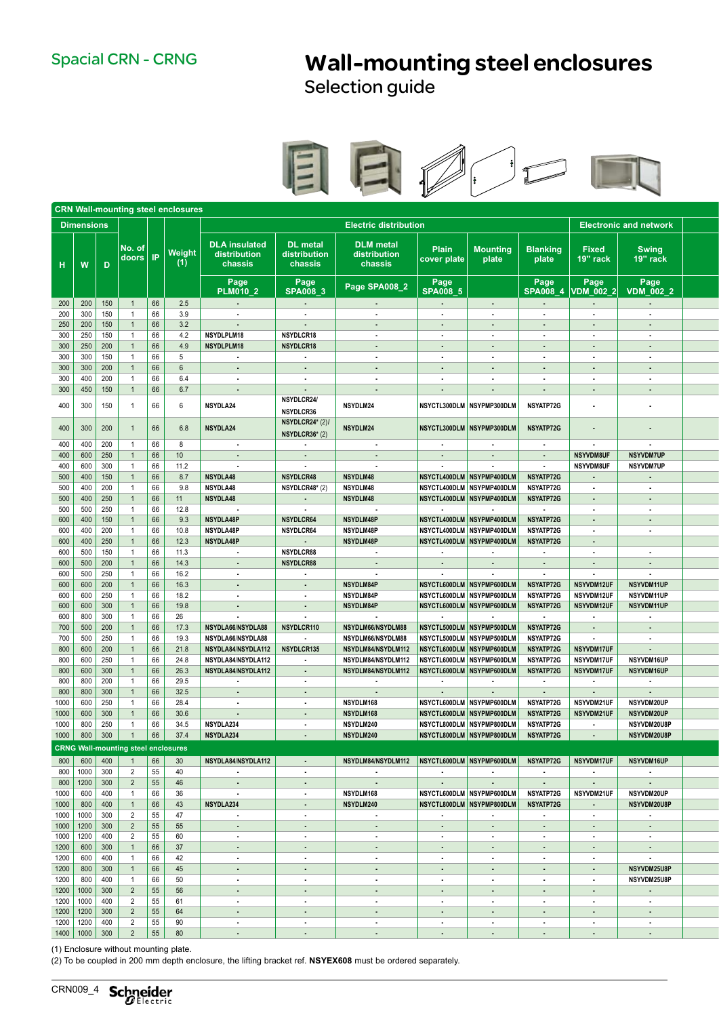## Spacial CRN - CRNG **Wall-mounting steel enclosures**

Selection guide



|                                                                   |                                            |                                  |                        | <b>CRN Wall-mounting steel enclosures</b> |                                                 |                                            |                                                  |                                                        |                                    |                                      |                                  |                               |  |
|-------------------------------------------------------------------|--------------------------------------------|----------------------------------|------------------------|-------------------------------------------|-------------------------------------------------|--------------------------------------------|--------------------------------------------------|--------------------------------------------------------|------------------------------------|--------------------------------------|----------------------------------|-------------------------------|--|
|                                                                   | <b>Dimensions</b>                          |                                  |                        |                                           | <b>Electric distribution</b>                    |                                            |                                                  |                                                        |                                    |                                      |                                  | <b>Electronic and network</b> |  |
| $\mathbf{H}$                                                      | W<br>$\overline{D}$                        | No. of I                         | doors <b>IP</b>        | Weight<br>(1)                             | <b>DLA</b> insulated<br>distribution<br>chassis | <b>DL</b> metal<br>distribution<br>chassis | <b>DLM</b> metal<br>distribution<br>chassis      | Plain<br>cover plate                                   | <b>Mounting</b><br>plate           | <b>Blanking</b><br>plate             | Fixed<br>19" rack                | <b>Swing</b><br>19" rack      |  |
|                                                                   |                                            |                                  |                        |                                           | Page                                            | Page                                       | Page SPA008_2                                    | Page                                                   |                                    | Page                                 | Page                             | Page                          |  |
|                                                                   |                                            |                                  |                        |                                           | <b>PLM010 2</b>                                 | <b>SPA008 3</b>                            |                                                  | <b>SPA008 5</b>                                        |                                    | <b>SPA008 4</b>                      | <b>VDM 002 2</b>                 | <b>VDM_002_2</b>              |  |
|                                                                   | $200$   200   150                          | $\overline{1}$                   | $\vert 66 \vert$<br>66 | 2.5                                       | $\sim 100$ km s $^{-1}$                         | $\sim 100$ km s $^{-1}$                    | <b>Contract Contract</b>                         | $\sim 10^{-10}$                                        | <b>Contract</b>                    | <b>Contract</b>                      | $\sim 100$                       | <b>Service</b>                |  |
| 200<br>250                                                        | 300<br>150<br>200<br>150                   | $\overline{1}$<br>$\overline{1}$ | 66                     | 3.9<br>3.2                                | $\sim$ $\sim$<br>$\sim 100$                     | $\sim 100$<br>$\sim 100$                   | $\sim$ $-$<br>$\sim 10^{-1}$                     | $\sim$<br>$\sim$                                       | <b>Contract</b><br>$\sim 10^{-1}$  | $\sim 10^{-11}$<br>$\sim 10^{-1}$    | $\sim 100$<br>$\sim 100$         | $\sim$<br>$\sim$              |  |
| 300                                                               | 250<br>150                                 | $\overline{1}$                   | 66                     | 4.2                                       | <b>NSYDLPLM18</b>                               | NSYDLCR18                                  | $\sim$                                           | $\sim$                                                 | <b>Contract Contract</b>           | $\sim 10^{-11}$                      | $\sim 10^{-1}$                   | $\sim$                        |  |
| 300                                                               | 250<br>200                                 | $\overline{1}$                   | 66                     | 4.9                                       | NSYDLPLM18                                      | NSYDLCR18                                  | $\sim$                                           | $\sim$                                                 | $\sim$ $\sim$                      | $\sim 10^{-11}$                      | $\sim 10^{-1}$                   | $\sim 100$                    |  |
| 300                                                               | 300<br>150                                 | $\overline{1}$                   | 66                     | 5                                         | $\sim$                                          | $\sim 10^{-1}$                             | $\sim$                                           | $\sim$                                                 | $\sim 100$                         | $\sim$                               | $\sim 10^{-1}$                   | $\sim$                        |  |
| 300                                                               | 300<br>200                                 | $\overline{1}$                   | 66                     | 6                                         | $\sim$ $\sim$                                   | $\sim 10^{-1}$                             | $\sim$                                           | $\sim$                                                 | $\sim$ $\sim$                      | $\sim$                               | $\sim 10^{-1}$                   | $\sim$                        |  |
| 300                                                               | 200<br>400                                 | $\overline{1}$                   | 66                     | 6.4                                       | $\sim$                                          | $\sim$                                     | $\sim$                                           | $\sim$                                                 | $\sim$                             | $\sim$                               | $\sim 10^{-1}$                   | $\sim$                        |  |
| 300                                                               | 150<br>450                                 | $\mathbf{1}$                     | 66                     | 6.7                                       | $\sim$ 10 $\pm$                                 | $\sim 10^{-1}$                             | $\sim$                                           | $\sim$                                                 |                                    | $\sim$                               | $\sim 10^{-1}$                   | $\sim$                        |  |
| 400                                                               | 300<br>150                                 | $\overline{1}$                   | 66                     | 6                                         | NSYDLA24                                        | NSYDLCR24/<br>NSYDLCR36                    | NSYDLM24                                         | NSYCTL300DLM NSYPMP300DLM                              |                                    | <b>NSYATP72G</b>                     | $\sim$                           | $\sim$                        |  |
| 400                                                               | 300<br>200                                 | $\overline{1}$                   | 66                     | 6.8                                       | NSYDLA24                                        | NSYDLCR24* (2)/<br>NSYDLCR36* (2)          | NSYDLM24                                         | NSYCTL300DLM NSYPMP300DLM                              |                                    | NSYATP72G                            | $\sim 10^{-1}$                   | $\sim$                        |  |
| 400                                                               | 400<br>200                                 | $\overline{1}$                   | 66                     | 8                                         | $\sim 100$                                      | <b>Contract Contract</b>                   | <b>Contract</b>                                  | $\sim$ 100 $\mu$                                       | <b>Contract</b>                    | $\sim$                               | <b>Contract</b>                  | <b>Contract</b>               |  |
| 400                                                               | 250<br>600                                 | $\overline{1}$                   | 66                     | 10                                        | <b>Contract</b>                                 | <b>Contract</b>                            | <b>Section</b>                                   | $\sim 100$                                             | <b>Contract Contract</b>           | <b>Section</b>                       | <b>NSYVDM8UF</b>                 | <b>NSYVDM7UP</b>              |  |
| 400                                                               | 600<br>300                                 | $\overline{1}$                   | 66                     | 11.2                                      | $\sim$ 100 $\pm$                                | <b>Contract</b>                            | $\sim$                                           | $\sim$                                                 | <b>Contract</b>                    | $\sim$                               | NSYVDM8UF                        | <b>NSYVDM7UP</b>              |  |
| 500                                                               | 400<br>150                                 | $\overline{1}$                   | 66                     | 8.7                                       | <b>NSYDLA48</b>                                 | <b>NSYDLCR48</b>                           | <b>NSYDLM48</b>                                  | NSYCTL400DLM NSYPMP400DLM                              |                                    | NSYATP72G                            | $\sim 100$                       | $\sim$                        |  |
| 500                                                               | 400<br>200                                 | $\overline{1}$                   | 66                     | 9.8                                       | <b>NSYDLA48</b>                                 | NSYDLCR48* (2)                             | <b>NSYDLM48</b>                                  | NSYCTL400DLM NSYPMP400DLM                              |                                    | <b>NSYATP72G</b>                     | $\sim 10^{-1}$                   | $\sim$                        |  |
| 500                                                               | 250<br>400                                 | $\overline{1}$                   | 66                     | 11                                        | NSYDLA48                                        | $\sim 10^{-1}$                             | NSYDLM48                                         | NSYCTL400DLM NSYPMP400DLM                              |                                    | <b>NSYATP72G</b>                     | $\sim 100$                       | $\sim$                        |  |
| 500                                                               | 250<br>500                                 | $\overline{1}$                   | 66                     | 12.8                                      | $\sim$                                          | $\sim 100$                                 | $\sim 100$                                       | $\sim$                                                 | <b>Contract</b>                    | $\sim 100$                           | $\sim 10^{-1}$                   | $\sim$                        |  |
| 600                                                               | 150<br>400                                 | $\overline{1}$                   | 66 <br>66              | 9.3                                       | NSYDLA48P                                       | NSYDLCR64                                  | NSYDLM48P                                        | NSYCTL400DLM NSYPMP400DLM                              |                                    | NSYATP72G                            | $\sim 10^{-1}$                   | $\sim$                        |  |
| 600<br>600                                                        | 400<br>200<br>250<br>400                   | $\overline{1}$                   | 66                     | 10.8<br>12.3                              | <b>NSYDLA48P</b><br><b>NSYDLA48P</b>            | <b>NSYDLCR64</b>                           | <b>NSYDLM48P</b><br>NSYDLM48P                    | NSYCTL400DLM NSYPMP400DLM<br>NSYCTL400DLM NSYPMP400DLM |                                    | <b>NSYATP72G</b><br><b>NSYATP72G</b> | $\sim 10^{-1}$                   | $\sim$                        |  |
| 600                                                               | 500<br>150                                 | $\overline{1}$<br>$\overline{1}$ | 66                     | 11.3                                      | $\sim$                                          | $\sim 100$<br>NSYDLCR88                    | $\sim$                                           | $\sim$                                                 | $\sim$                             | $\sim$                               | $\sim 10^{-1}$<br>$\sim 10^{-1}$ | $\sim$                        |  |
| 600                                                               | 500<br>200                                 | $\mathbf{1}$                     | 66                     | 14.3                                      | $\sim 100$                                      | <b>NSYDLCR88</b>                           | $\sim 100$                                       | <b>Contract</b>                                        | $\sim 100$                         | $\sim 100$                           | $\sim 10^{-1}$                   | $\sim 10^{-11}$               |  |
| 600                                                               | 500<br>250                                 | $\overline{1}$                   | 66                     | 16.2                                      | $\sim$                                          | $\sim 10^{-1}$                             | $\sim$                                           | $\sim$ $-$                                             | $\sim 100$                         | $\sim$                               | <b>Contract</b>                  | $\sim$                        |  |
| 600                                                               | 200<br>600                                 | $\mathbf{1}$                     | 66                     | 16.3                                      | $\sim 100$                                      | $\sim 100$                                 | NSYDLM84P                                        | NSYCTL600DLM NSYPMP600DLM                              |                                    | <b>NSYATP72G</b>                     | NSYVDM12UF                       | NSYVDM11UP                    |  |
| 600                                                               | 600<br>250                                 | $\overline{1}$                   | 66                     | 18.2                                      | $\sim 100$                                      | $\sim 10^{-1}$                             | NSYDLM84P                                        | NSYCTL600DLM NSYPMP600DLM                              |                                    | <b>NSYATP72G</b>                     | NSYVDM12UF                       | <b>NSYVDM11UP</b>             |  |
| 600                                                               | 600<br>300                                 | $\overline{1}$                   | $\Big  66$             | 19.8                                      | <b>Contract</b>                                 | $\sim 1000$                                | NSYDLM84P                                        | NSYCTL600DLM NSYPMP600DLM                              |                                    | <b>NSYATP72G</b>                     | NSYVDM12UF                       | NSYVDM11UP                    |  |
| 600                                                               | 800<br>300                                 | $\overline{1}$                   | 66                     | 26                                        | $\sim$                                          | <b>Contract Contract</b>                   | <b>Contract</b>                                  | <b>Contract</b>                                        | <b>Contract</b>                    | $\sim 100$                           | <b>Contract Contract</b>         | <b>Contract Contract</b>      |  |
| 700                                                               | 500<br>200                                 | $\overline{1}$                   | 66                     | 17.3                                      | NSYDLA66/NSYDLA88                               | NSYDLCR110                                 | NSYDLM66/NSYDLM88                                | NSYCTL500DLM NSYPMP500DLM                              |                                    | <b>NSYATP72G</b>                     | <b>Contract</b>                  | <b>Contract</b>               |  |
| 700                                                               | 500<br>250                                 | $\overline{1}$                   | 66                     | 19.3                                      | NSYDLA66/NSYDLA88                               | <b>Contract</b>                            | NSYDLM66/NSYDLM88                                | NSYCTL500DLM NSYPMP500DLM                              |                                    | <b>NSYATP72G</b>                     | <b>Contractor</b>                | <b>Contract Contract</b>      |  |
| 800                                                               | 200<br>600                                 | $\overline{1}$                   | $ 66\rangle$           | 21.8                                      | NSYDLA84/NSYDLA112                              | NSYDLCR135                                 | NSYDLM84/NSYDLM112                               | NSYCTL600DLM NSYPMP600DLM                              |                                    | <b>NSYATP72G</b>                     | NSYVDM17UF                       | <b>Service</b>                |  |
| 800                                                               | 250<br>600                                 | $\overline{1}$                   | 66                     | 24.8                                      | NSYDLA84/NSYDLA112                              | <b>Contract Contract</b>                   | NSYDLM84/NSYDLM112                               | NSYCTL600DLM NSYPMP600DLM                              |                                    | NSYATP72G                            | <b>NSYVDM17UF</b>                | <b>NSYVDM16UP</b>             |  |
| 800                                                               | 300<br>600                                 | $\overline{1}$                   | $\Big  66$             | 26.3                                      | NSYDLA84/NSYDLA112                              | $\sim 100$                                 | NSYDLM84/NSYDLM112                               | NSYCTL600DLM NSYPMP600DLM                              |                                    | <b>NSYATP72G</b>                     | NSYVDM17UF                       | NSYVDM16UP                    |  |
| 800                                                               | 200<br>800                                 | $\overline{1}$                   | 66                     | 29.5                                      | $\sim$                                          | $\sim 10^{-11}$                            | $\sim$                                           | $\sim 10^{-11}$                                        | <b>Contract</b>                    | $\sim$ 100 $\pm$                     | $\sim 100$                       | $\sim$                        |  |
| 800                                                               | 800 300                                    | $\overline{1}$                   | 66                     | 32.5                                      | $\sim 10^{-1}$                                  | $\sim 100$                                 | $\sim 10^{-1}$                                   | $\sim$                                                 | $\sim$ $\sim$                      | $\sim$                               | $\sim 10^{-1}$                   | $\sim 10^{-11}$               |  |
| 1000                                                              | 600<br>250                                 | $\overline{1}$                   | 66                     | 28.4                                      | $\sim$                                          | $\sim$                                     | NSYDLM168                                        | NSYCTL600DLM NSYPMP600DLM                              |                                    | <b>NSYATP72G</b>                     | NSYVDM21UF                       | <b>NSYVDM20UP</b>             |  |
| 1000                                                              | $600 \mid 300$                             | $\overline{1}$                   | 66                     | 30.6                                      | $\sim$                                          | $\sim 10^{-1}$                             | NSYDLM168                                        | NSYCTL600DLM NSYPMP600DLM                              |                                    | <b>NSYATP72G</b>                     | <b>NSYVDM21UF</b>                | NSYVDM20UP                    |  |
| 1000                                                              | 800 250                                    | $\overline{1}$                   | 66                     | 34.5                                      | NSYDLA234                                       | $\sim 10^{-1}$                             | <b>NSYDLM240</b>                                 | NSYCTL800DLM NSYPMP800DLM                              |                                    | <b>NSYATP72G</b>                     | $\sim 100$                       | NSYVDM20U8P                   |  |
|                                                                   | $1000$ 800 300                             | $\overline{1}$                   | $\vert 66 \vert$       | 37.4                                      | NSYDLA234                                       | $\sim 10^{-1}$                             | NSYDLM240                                        | NSYCTL800DLM NSYPMP800DLM                              |                                    | <b>NSYATP72G</b>                     | $\sim 100$                       | NSYVDM20U8P                   |  |
|                                                                   | <b>CRNG Wall-mounting steel enclosures</b> |                                  |                        |                                           |                                                 |                                            |                                                  |                                                        |                                    |                                      |                                  |                               |  |
|                                                                   | 800 600 400                                | $\overline{1}$                   | $ 66\rangle$           | 30                                        | NSYDLA84/NSYDLA112                              | $\sim 10^{-11}$                            | NSYDLM84/NSYDLM112   NSYCTL600DLM   NSYPMP600DLM |                                                        |                                    | <b>NSYATP72G</b>                     | NSYVDM17UF                       | NSYVDM16UP                    |  |
|                                                                   | 800 1000 300<br>800 1200 300               | $\overline{2}$                   | 55                     | 40                                        | $\sim$                                          | $\sim 10^{-11}$                            | <b>Contract</b>                                  | $\sim$                                                 | <b>Contract</b>                    | $\sim 10^{-11}$                      | $\sim 100$                       | $\sim$                        |  |
|                                                                   |                                            | $\overline{2}$                   | 55                     | 46                                        | $\sim$                                          | $\sim 10^{-11}$                            | $\sim 100$                                       | $\sim 10^{-1}$                                         | $\sim 100$                         | <b>Contract</b>                      | $\sim 100$                       | <b>Contract</b>               |  |
| $\frac{1000}{1000}$                                               | 400<br>600                                 | $\overline{1}$                   | 66                     | 36                                        | $\sim$                                          | $\sim 10^{-1}$                             | NSYDLM168                                        | NSYCTL600DLM NSYPMP600DLM                              |                                    | <b>NSYATP72G</b>                     | NSYVDM21UF                       | <b>NSYVDM20UP</b>             |  |
|                                                                   | 800<br>400                                 | $\overline{1}$                   | 66                     | 43                                        | NSYDLA234                                       | $\sim$                                     | NSYDLM240                                        | NSYCTL800DLM NSYPMP800DLM                              |                                    | NSYATP72G                            | $\sim 10^{-1}$                   | NSYVDM20U8P                   |  |
| $\begin{array}{ c c }\n\hline\n1000 \\ \hline\n1000\n\end{array}$ | 300<br>1000                                | $\overline{2}$                   | 55                     | 47                                        | $\sim$                                          | $\sim 10^{-1}$                             | $\sim 10^{-1}$                                   | $\sim$                                                 | $\sim$ $-$                         | $\sim 10$                            | $\sim 100$                       | $\sim 10^{-11}$               |  |
|                                                                   | 1200   300                                 | $\overline{2}$                   | 55                     | 55                                        | $\sim$                                          | $\sim$                                     | $\sim 10^{-1}$                                   | $\sim 10$                                              | $\sim 10^{-1}$                     | $\sim 10^{-1}$                       | $\sim 10^{-1}$                   | $\sim 10^{-1}$                |  |
| $\frac{1000}{1000}$                                               | 400<br>1200                                | $\overline{2}$                   | 55                     | 60                                        | $\sim$                                          | $\sim$                                     | $\sim 10^{-1}$                                   | $\sim$                                                 | $\sim 100$                         | $\sim$                               | $\sim 100$                       | $\sim$                        |  |
| $\boxed{1200}$                                                    | 300<br>600                                 | $\overline{1}$                   | 66                     | 37                                        | $\sim 10^{-1}$                                  | $\sim 10^{-1}$                             | $\sim$                                           | $\sim 100$                                             | $\sim 10^{-11}$                    | $\sim 100$                           | $\sim 10^{-1}$                   | $\sim 100$                    |  |
| 1200                                                              | 400<br>600                                 | $\overline{1}$                   | 66                     | 42                                        | $\sim 10^{-1}$                                  | $\sim 10^{-1}$                             | $\sim 10^{-1}$                                   | $\sim 10^{-1}$                                         | $\sim 100$                         | $\sim$                               | $\sim 10^{-11}$                  | $\sim 10^{-11}$               |  |
| 1200                                                              | 800<br>300                                 | $\overline{1}$                   | 66                     | 45                                        | $\sim 10^{-1}$                                  | $\sim 10^{-1}$                             | $\sim 10^{-11}$                                  | $\sim 10$                                              | $\sim 10^{-11}$                    | $\sim$                               | $\sim 10^{-1}$                   | NSYVDM25U8P                   |  |
| 1200                                                              | 400<br>800                                 | $\overline{1}$                   | 66                     | 50                                        | $\sim 10^{-11}$                                 | $\sim$                                     | $\sim 10^{-1}$                                   | $\sim$                                                 | $\sim 10^{-1}$                     | $\sim$                               | $\sim 100$                       | NSYVDM25U8P                   |  |
| $1200$                                                            | 300<br>1000                                | $\overline{2}$                   | 55                     | 56                                        | $\sim 10^{-11}$                                 | <b>Contract</b>                            | <b>Service</b>                                   | $\sim 100$                                             | <b>Contract Contract</b>           | <b>Contract</b>                      | $\sim 100$                       | $\sim 100$                    |  |
| 1200<br>$1200$                                                    | 400<br>1000                                | $\overline{2}$                   | 55                     | 61<br>64                                  | $\sim 10^{-11}$                                 | $\sim 10^{-11}$                            | <b>Contract Contract</b>                         | $\sim$ $-$                                             | $\sim 100$                         | $\sim 10^{-11}$                      | $\sim 100$                       | $\sim$ $-$                    |  |
| 1200                                                              | 300<br>1200<br>400<br>1200                 | $\overline{2}$<br>$\overline{2}$ | 55<br>55               | 90                                        | $\sim 10^{-1}$<br>$\sim$ $\sim$                 | $\sim 10^{-11}$                            | <b>Contract</b><br><b>Contract</b>               | $\sim 100$                                             | <b>Contract</b><br><b>Contract</b> | <b>Contract</b>                      | $\sim 100$<br><b>Contract</b>    | $\sim 100$<br>$\sim$          |  |
|                                                                   | 1400 1000 300                              | $\overline{2}$                   | $\vert 55 \vert$       | 80                                        | $\sim 10^{-1}$                                  | $\sim$<br>$\sim 10^{-11}$                  | $\sim 100$                                       | $\sim$<br>$\sim 10$                                    | $\sim 10^{-11}$                    | $\sim$<br>$\sim 10^{-10}$            | $\sim 10^{-1}$                   | $\sim 10^{-11}$               |  |
|                                                                   |                                            |                                  |                        |                                           |                                                 |                                            |                                                  |                                                        |                                    |                                      |                                  |                               |  |

(1) Enclosure without mounting plate.

(2) To be coupled in 200 mm depth enclosure, the lifting bracket ref. NSYEX608 must be ordered separately.